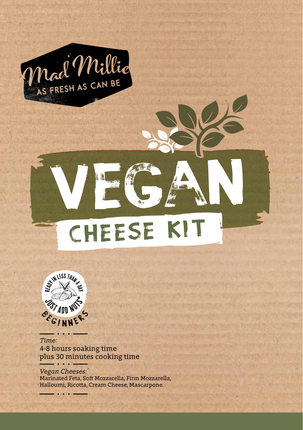

# CHEESE KI



4-8 hours soaking time plus 30 minutes cooking time *Time:*

*Vegan Cheeses:* Marinated Feta, Soft Mozzarella, Firm Mozzarella, Halloumi, Ricotta, Cream Cheese, Mascarpone.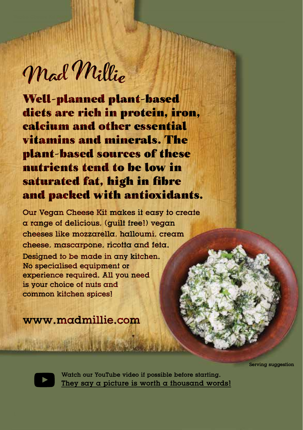Mad Millie

Well-planned plant-based diets are rich in protein, iron, calcium and other essential vitamins and minerals. The plant-based sources of these nutrients tend to be low in saturated fat, high in fibre and packed with antioxidants.

Our Vegan Cheese Kit makes it easy to create a range of delicious, (guilt free!) vegan cheeses like mozzarella, halloumi, cream cheese, mascarpone, ricotta and feta. Designed to be made in any kitchen. No specialised equipment or experience required. All you need is your choice of nuts and common kitchen spices!

www.madmillie.com

Serving suggestion



Watch our YouTube video if possible before starting. They say a picture is worth a thousand words!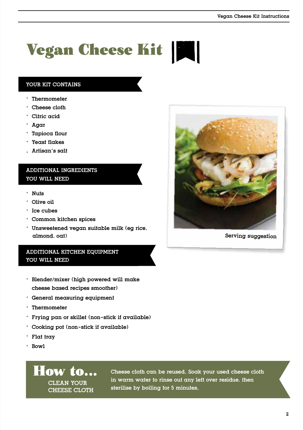## Vegan Cheese Kit

## YOUR KIT CONTAINS

- . Thermometer
- . Cheese cloth
- . Citric acid
- . Agar
- . Tapioca flour
- . Yeast flakes
- . Artisan's salt

## ADDITIONAL INGREDIENTS YOU WILL NEED

- . Nuts
- . Olive oil
- . Ice cubes
- . Common kitchen spices
- . Unsweetened vegan suitable milk (eg rice, almond, oat)

## ADDITIONAL KITCHEN EQUIPMENT YOU WILL NEED

- . Blender/mixer (high powered will make cheese based recipes smoother)
- . General measuring equipment
- . Thermometer
- . Frying pan or skillet (non-stick if available)
- . Cooking pot (non-stick if available)
- . Flat tray
- . Bowl



Cheese cloth can be reused. Soak your used cheese cloth in warm water to rinse out any left over residue, then sterilise by boiling for 5 minutes.



Serving suggestion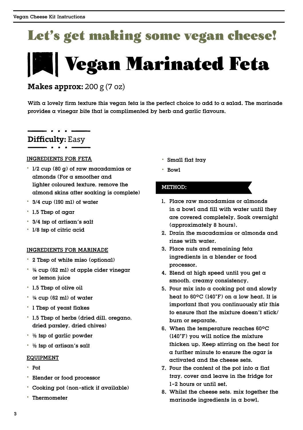## Let's get making some vegan cheese!

## **Vegan Marinated Feta**

**Makes approx:** 200 g (7 oz)

With  $\alpha$  lovely firm texture this vegan feta is the perfect choice to add to  $\alpha$  salad. The marinade provides a vinegar bite that is complimented by herb and garlic flavours.

## . . . . . **Difficulty:** Easy

### INGREDIENTS FOR FETA

- . 1/2 cup (80 g) of raw macadamias or almonds (For a smoother and lighter coloured texture, remove the almond skins after soaking is complete)
- . 3/4 cup (190 ml) of water
- . 1.5 Tbsp of agar
- . 3/4 tsp of artisan's salt
- . 1/8 tsp of citric acid

### INGREDIENTS FOR MARINADE

- . 2 Tbsp of white miso (optional)
- $\cdot$   $\frac{1}{4}$  cup (62 ml) of apple cider vinegar or lemon juice
- . 1.5 Tbsp of olive oil
- $\cdot$   $\frac{1}{4}$  cup (62 ml) of water
- . 1 Tbsp of yeast flakes
- . 1.5 Tbsp of herbs (dried dill, oregano, dried parsley, dried chives)
- $\cdot$   $\frac{1}{2}$  tsp of garlic powder
- $\cdot$   $\frac{1}{2}$  tsp of artisan's salt

#### EQUIPMENT

- . Pot
- . Blender or food processor
- . Cooking pot (non-stick if available)
- . Thermometer
- . Small flat tray
- . Bowl

- 1. Place raw macadamias or almonds in a bowl and fill with water until they are covered completely. Soak overnight (approximately 8 hours).
- 2. Drain the macadamias or almonds and rinse with water.
- 3. Place nuts and remaining feta ingredients in a blender or food processor.
- 4. Blend at high speed until you get a smooth, creamy consistency.
- 5. Pour mix into a cooking pot and slowly heat to  $60^{\circ}$ C (140°F) on a low heat. It is important that you continuously stir this to ensure that the mixture doesn't stick/ burn or separate.
- 6. When the temperature reaches 60ºC (140°F) you will notice the mixture thicken up. Keep stirring on the heat for a further minute to ensure the agar is activated and the cheese sets.
- 7. Pour the content of the pot into  $\alpha$  flat tray, cover and leave in the fridge for 1-2 hours or until set.
- 8. Whilst the cheese sets, mix together the marinade ingredients in a bowl.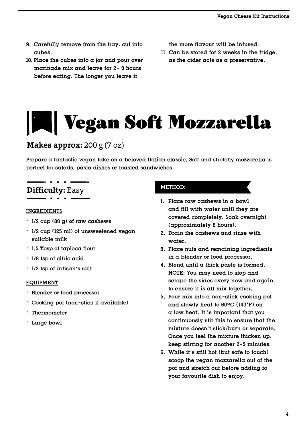- 9. Carefully remove from the tray, cut into cubes.
- 10. Place the cubes into  $\alpha$  jar and pour over marinade mix and leave for 2- 3 hours before eating. The longer you leave it,
- the more flavour will be infused.
- 11. Can be stored for 2 weeks in the fridge, as the cider acts as a preservative.

## Vegan Soft Mozzarella

## **Makes approx:** 200 g (7 oz)

Prepare a fantastic vegan take on a beloved Italian classic. Soft and stretchy mozzarella is perfect for salads, pasta dishes or toasted sandwiches.

## **Difficulty:** Easy

#### INGREDIENTS

- . 1/2 cup (80 g) of raw cashews
- . 1/2 cup (125 ml) of unsweetened vegan suitable milk
- . 1.5 Tbsp of tapioca flour
- . 1/8 tsp of citric acid
- . 1/2 tsp of artisan's salt

#### EQUIPMENT

- . Blender or food processor
- . Cooking pot (non-stick if available)
- . Thermometer
- . Large bowl

- 1. Place raw cashews in a bowl and fill with water until they are covered completely. Soak overnight (approximately 8 hours).
- 2. Drain the cashews and rinse with water.
- 3. Place nuts and remaining ingredients in a blender or food processor.
- 4. Blend until  $\alpha$  thick paste is formed. NOTE: You may need to stop and scrape the sides every now and again to ensure it is all mix together.
- 5. Pour mix into a non-stick cooking pot and slowly heat to 60ºC (140°F) on a low heat. It is important that you continuously stir this to ensure that the mixture doesn't stick/burn or separate. Once you feel the mixture thicken up, keep stirring for another 2-3 minutes.
- 6. While it's still hot (but safe to touch) scoop the vegan mozzarella out of the pot and stretch out before adding to your favourite dish to enjoy.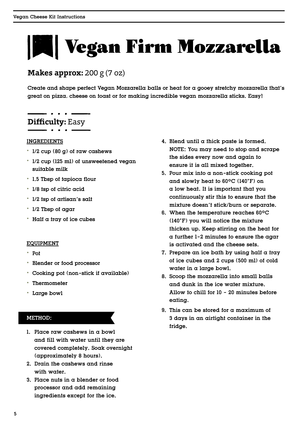# Vegan Firm Mozzarella

## **Makes approx:** 200 g (7 oz)

Create and shape perfect Vegan Mozzarella balls or heat for a gooey stretchy mozzarella that's great on pizza, cheese on toast or for making incredible vegan mozzarella sticks. Easy!

## **Difficulty:** Easy

### INGREDIENTS

- . 1/2 cup (80 g) of raw cashews
- . 1/2 cup (125 ml) of unsweetened vegan suitable milk
- . 1.5 Tbsp of tapioca flour
- . 1/8 tsp of citric acid
- . 1/2 tsp of artisan's salt
- . 1/2 Tbsp of agar
- . Half a tray of ice cubes

## EQUIPMENT

- . Pot
- . Blender or food processor
- . Cooking pot (non-stick if available)
- . Thermometer
- . Large bowl

- 1. Place raw cashews in a bowl and fill with water until they are covered completely. Soak overnight (approximately 8 hours).
- 2. Drain the cashews and rinse with water
- 3. Place nuts in a blender or food processor and add remaining ingredients except for the ice.
- 4. Blend until  $\alpha$  thick paste is formed. NOTE: You may need to stop and scrape the sides every now and again to ensure it is all mixed together.
- 5. Pour mix into a non-stick cooking pot and slowly heat to 60ºC (140°F) on a low heat. It is important that you continuously stir this to ensure that the mixture doesn't stick/burn or separate.
- 6. When the temperature reaches 60ºC (140°F) you will notice the mixture thicken up. Keep stirring on the heat for a further 1-2 minutes to ensure the agar is activated and the cheese sets.
- 7. Prepare an ice bath by using half a tray of ice cubes and 2 cups (500 ml) of cold water in a large bowl.
- 8. Scoop the mozzarella into small balls and dunk in the ice water mixture. Allow to chill for 10 - 20 minutes before eating.
- 9. This can be stored for a maximum of 3 days in an airtight container in the fridge.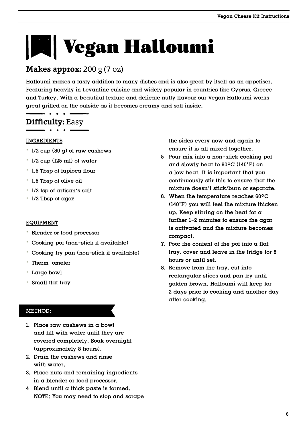# Vegan Halloumi

## **Makes approx:** 200 g (7 oz)

Halloumi makes a tasty addition to many dishes and is also great by itself as an appetiser. Featuring heavily in Levantine cuisine and widely popular in countries like Cyprus, Greece and Turkey. With a beautiful texture and delicate nutty flavour our Vegan Halloumi works great grilled on the outside as it becomes creamy and soft inside.

## **Difficulty:** Easy

## INGREDIENTS

- . 1/2 cup (80 g) of raw cashews
- . 1/2 cup (125 ml) of water
- . 1.5 Tbsp of tapioca flour
- . 1.5 Tbsp of olive oil
- . 1/2 tsp of artisan's salt
- . 1/2 Tbsp of agar

## EQUIPMENT

- . Blender or food processor
- . Cooking pot (non-stick if available)
- . Cooking fry pan (non-stick if available)
- . Therm ometer
- . Large bowl
- . Small flat tray

## METHOD:

- 1. Place raw cashews in a bowl and fill with water until they are covered completely. Soak overnight (approximately 8 hours).
- 2. Drain the cashews and rinse with water.
- 3. Place nuts and remaining ingredients in a blender or food processor.
- 4 Blend until  $\alpha$  thick paste is formed. NOTE: You may need to stop and scrape

the sides every now and again to ensure it is all mixed together.

- 5 Pour mix into a non-stick cooking pot and slowly heat to 60ºC (140°F) on a low heat. It is important that you continuously stir this to ensure that the mixture doesn't stick/burn or separate.
- 6. When the temperature reaches 60ºC (140°F) you will feel the mixture thicken up. Keep stirring on the heat for a further 1-2 minutes to ensure the agar is activated and the mixture becomes compact.
- 7. Poor the content of the pot into  $\alpha$  flat tray, cover and leave in the fridge for 8 hours or until set.
- 8. Remove from the tray, cut into rectangular slices and pan fry until golden brown. Halloumi will keep for 2 days prior to cooking and another day after cooking.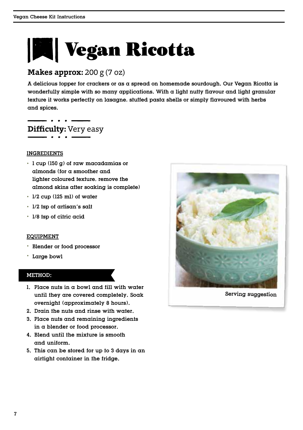## **WE** Vegan Ricotta

## **Makes approx:** 200 g (7 oz)

A delicious topper for crackers or as a spread on homemade sourdough. Our Vegan Ricotta is wonderfully simple with so many applications. With a light nutty flavour and light granular texture it works perfectly on lasagne, stuffed pasta shells or simply flavoured with herbs and spices.

**Difficulty:** Very easy

### INGREDIENTS

- . 1 cup (150 g) of raw macadamias or almonds (for a smoother and lighter coloured texture, remove the almond skins after soaking is complete)
- . 1/2 cup (125 ml) of water
- . 1/2 tsp of artisan's salt
- . 1/8 tsp of citric acid

### EQUIPMENT

- . Blender or food processor
- . Large bowl

#### METHOD:

- 1. Place nuts in a bowl and fill with water until they are covered completely. Soak overnight (approximately 8 hours).
- 2. Drain the nuts and rinse with water.
- 3. Place nuts and remaining ingredients in a blender or food processor.
- 4. Blend until the mixture is smooth and uniform.
- 5. This can be stored for up to 3 days in an airtight container in the fridge.



Serving suggestion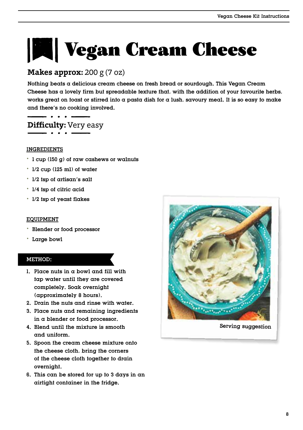# **Vegan Cream Cheese**

## **Makes approx:** 200 g (7 oz)

Nothing beats a delicious cream cheese on fresh bread or sourdough. This Vegan Cream Cheese has a lovely firm but spreadable texture that, with the addition of your favourite herbs, works great on toast or stirred into a pasta dish for a lush, savoury meal. It is so easy to make and there's no cooking involved.

## **Difficulty:** Very easy

## INGREDIENTS

- . 1 cup (150 g) of raw cashews or walnuts
- . 1/2 cup (125 ml) of water
- . 1/2 tsp of artisan's salt
- . 1/4 tsp of citric acid
- . 1/2 tsp of yeast flakes

## EQUIPMENT

- . Blender or food processor
- . Large bowl

- 1. Place nuts in a bowl and fill with tap water until they are covered completely. Soak overnight (approximately 8 hours).
- 2. Drain the nuts and rinse with water.
- 3. Place nuts and remaining ingredients in a blender or food processor.
- 4. Blend until the mixture is smooth and uniform.
- 5. Spoon the cream cheese mixture onto the cheese cloth, bring the corners of the cheese cloth together to drain overnight.
- 6. This can be stored for up to 3 days in an airtight container in the fridge.

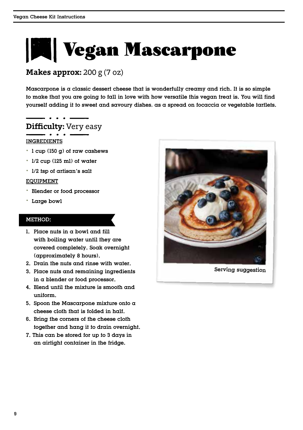# **Vegan Mascarpone**

## **Makes approx:** 200 g (7 oz)

Mascarpone is a classic dessert cheese that is wonderfully creamy and rich. It is so simple to make that you are going to fall in love with how versatile this vegan treat is. You will find yourself adding it to sweet and savoury dishes, as a spread on focaccia or vegetable tartlets.

## **Difficulty:** Very easy

## INGREDIENTS

- . 1 cup (150 g) of raw cashews
- . 1/2 cup (125 ml) of water
- . 1/2 tsp of artisan's salt

### EQUIPMENT

- . Blender or food processor
- . Large bowl

- 1. Place nuts in a bowl and fill with boiling water until they are covered completely. Soak overnight (approximately 8 hours).
- 2. Drain the nuts and rinse with water.
- 3. Place nuts and remaining ingredients in a blender or food processor.
- 4. Blend until the mixture is smooth and uniform.
- 5. Spoon the Mascarpone mixture onto  $\alpha$ cheese cloth that is folded in half.
- 6. Bring the corners of the cheese cloth together and hang it to drain overnight.
- 7. This can be stored for up to 3 days in an airtight container in the fridge.



Serving suggestion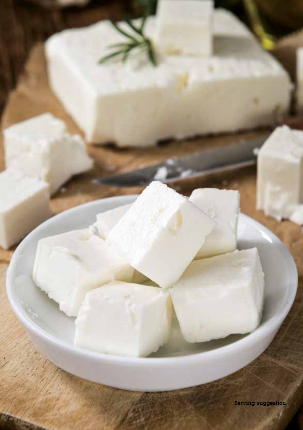Serving suggestion

Vegan Cheese Kit Instructions